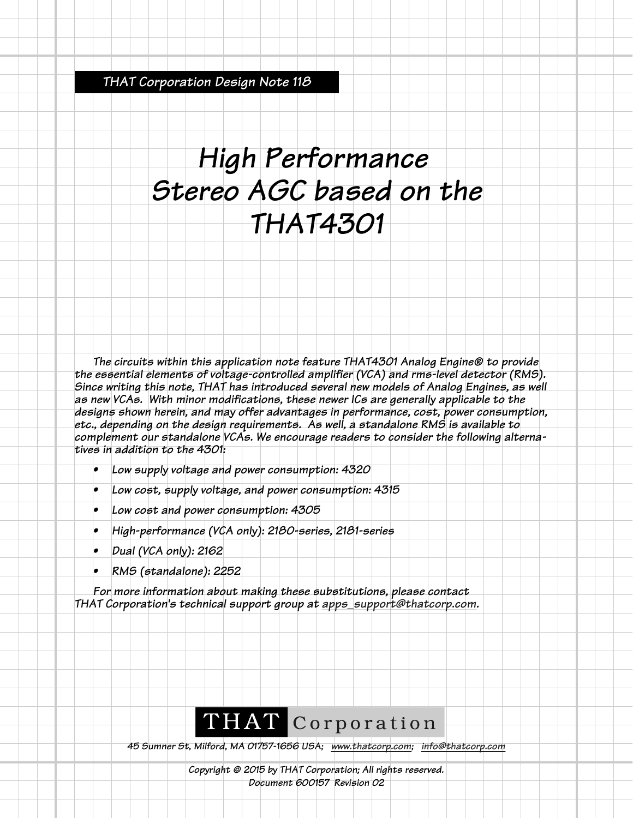*THAT Corporation Design Note 118*

## *High Performance Stereo AGC based on the THAT4301*

*The circuits within this application note feature THAT4301 Analog Engine® to provide the essential elements of voltage-controlled amplifier (VCA) and rms-level detector (RMS). Since writing this note, THAT has introduced several new models of Analog Engines, as well as new VCAs. With minor modifications, these newer ICs are generally applicable to the designs shown herein, and may offer advantages in performance, cost, power consumption, etc., depending on the design requirements. As well, a standalone RMS is available to complement our standalone VCAs. We encourage readers to consider the following alternatives in addition to the 4301:*

- *Low supply voltage and power consumption: 4320*
- *Low cost, supply voltage, and power consumption: 4315*
- *Low cost and power consumption: 4305*
- *High-performance (VCA only): 2180-series, 2181-series*
- *Dual (VCA only): 2162*
- *RMS (standalone): 2252*

*For more information about making these substitutions, please contact THAT Corporation's technical support group at apps\_support@thatcorp.com.*

## THAT Corporation

*45 Sumner St, Milford, MA 01757-1656 USA; www.thatcorp.com; info@thatcorp.com*

*Copyright © 2015 by THAT Corporation; All rights reserved. Document 600157 Revision 02*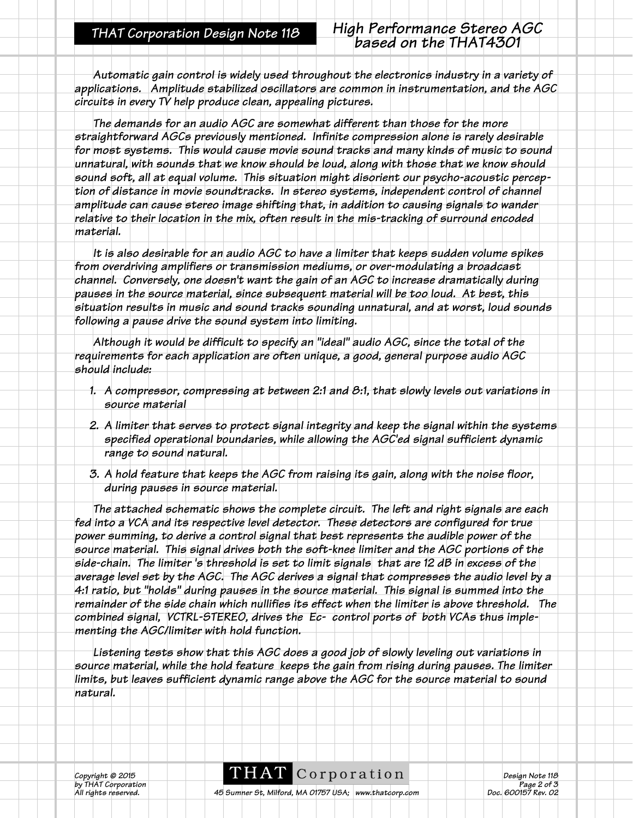*Automatic gain control is widely used throughout the electronics industry in a variety of applications. Amplitude stabilized oscillators are common in instrumentation, and the AGC circuits in every TV help produce clean, appealing pictures.*

*The demands for an audio AGC are somewhat different than those for the more straightforward AGCs previously mentioned. Infinite compression alone is rarely desirable for most systems. This would cause movie sound tracks and many kinds of music to sound unnatural, with sounds that we know should be loud, along with those that we know should sound soft, all at equal volume. This situation might disorient our psycho-acoustic perception of distance in movie soundtracks. In stereo systems, independent control of channel amplitude can cause stereo image shifting that, in addition to causing signals to wander relative to their location in the mix, often result in the mis-tracking of surround encoded material.*

*It is also desirable for an audio AGC to have a limiter that keeps sudden volume spikes from overdriving amplifiers or transmission mediums, or over-modulating a broadcast channel. Conversely, one doesn't want the gain of an AGC to increase dramatically during pauses in the source material, since subsequent material will be too loud. At best, this situation results in music and sound tracks sounding unnatural, and at worst, loud sounds following a pause drive the sound system into limiting.*

*Although it would be difficult to specify an "ideal" audio AGC, since the total of the requirements for each application are often unique, a good, general purpose audio AGC should include:*

- *1. A compressor, compressing at between 2:1 and 8:1, that slowly levels out variations in source material*
- *2. A limiter that serves to protect signal integrity and keep the signal within the systems specified operational boundaries, while allowing the AGC'ed signal sufficient dynamic range to sound natural.*
- *3. A hold feature that keeps the AGC from raising its gain, along with the noise floor, during pauses in source material.*

*The attached schematic shows the complete circuit. The left and right signals are each fed into a VCA and its respective level detector. These detectors are configured for true power summing, to derive a control signal that best represents the audible power of the source material. This signal drives both the soft-knee limiter and the AGC portions of the side-chain. The limiter 's threshold is set to limit signals that are 12 dB in excess of the average level set by the AGC. The AGC derives a signal that compresses the audio level by a 4:1 ratio, but "holds" during pauses in the source material. This signal is summed into the remainder of the side chain which nullifies its effect when the limiter is above threshold. The combined signal, VCTRL-STEREO, drives the Ec- control ports of both VCAs thus implementing the AGC/limiter with hold function.* 

*Listening tests show that this AGC does a good job of slowly leveling out variations in source material, while the hold feature keeps the gain from rising during pauses. The limiter limits, but leaves sufficient dynamic range above the AGC for the source material to sound natural.*

*Copyright © 2015* **Design Note 118**<br> *Design Note 118*<br> *Page 2 of 3* 

*by THAT Corporation*<br>All rights reserved. **2018** 45 Sumner St, Milford, MA 01757 USA; www.thatcorp.com **Page 2 of 3**<br>20. 600157 Rev. 02 *A5 Sumner St, Milford, MA 01757 USA; www.thatcorp.com*